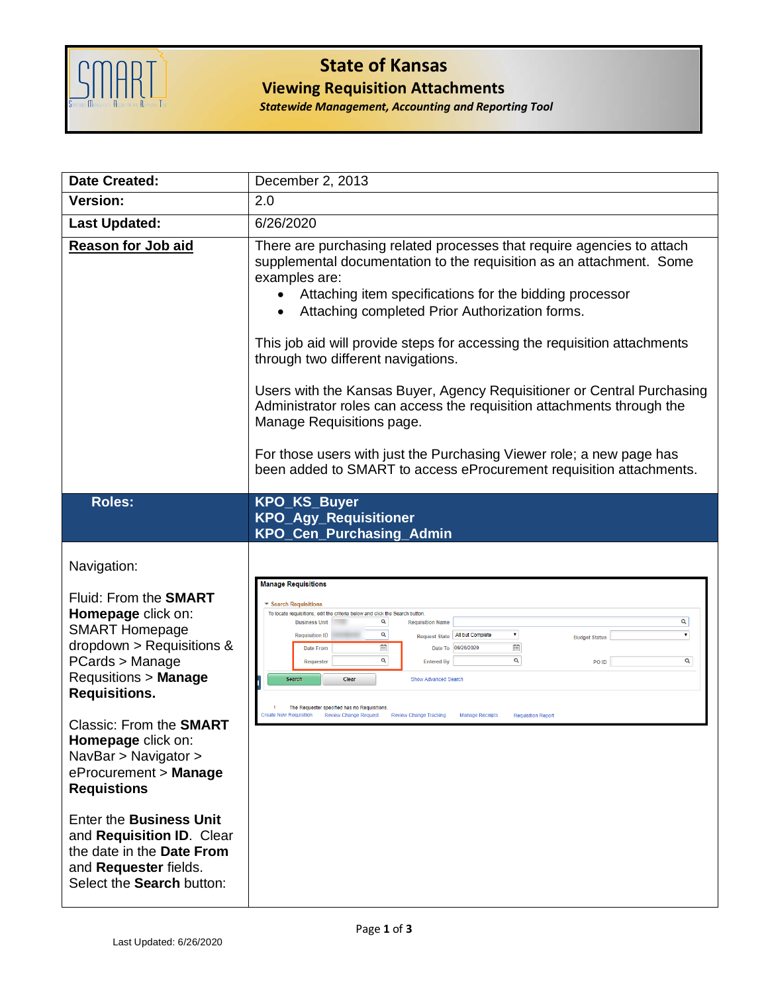

## **State of Kansas Viewing Requisition Attachments**

*Statewide Management, Accounting and Reporting Tool*

| <b>Date Created:</b>                                                                                                                                                                                                                                                                                                                                                                                                                                                                  | December 2, 2013                                                                                                                                                                                                                                                                                                                                                                                                                                                                                                                                                                                                                                                                                                                 |
|---------------------------------------------------------------------------------------------------------------------------------------------------------------------------------------------------------------------------------------------------------------------------------------------------------------------------------------------------------------------------------------------------------------------------------------------------------------------------------------|----------------------------------------------------------------------------------------------------------------------------------------------------------------------------------------------------------------------------------------------------------------------------------------------------------------------------------------------------------------------------------------------------------------------------------------------------------------------------------------------------------------------------------------------------------------------------------------------------------------------------------------------------------------------------------------------------------------------------------|
| <b>Version:</b>                                                                                                                                                                                                                                                                                                                                                                                                                                                                       | 2.0                                                                                                                                                                                                                                                                                                                                                                                                                                                                                                                                                                                                                                                                                                                              |
| <b>Last Updated:</b>                                                                                                                                                                                                                                                                                                                                                                                                                                                                  | 6/26/2020                                                                                                                                                                                                                                                                                                                                                                                                                                                                                                                                                                                                                                                                                                                        |
| <b>Reason for Job aid</b>                                                                                                                                                                                                                                                                                                                                                                                                                                                             | There are purchasing related processes that require agencies to attach<br>supplemental documentation to the requisition as an attachment. Some<br>examples are:<br>Attaching item specifications for the bidding processor<br>Attaching completed Prior Authorization forms.<br>This job aid will provide steps for accessing the requisition attachments<br>through two different navigations.<br>Users with the Kansas Buyer, Agency Requisitioner or Central Purchasing<br>Administrator roles can access the requisition attachments through the<br>Manage Requisitions page.<br>For those users with just the Purchasing Viewer role; a new page has<br>been added to SMART to access eProcurement requisition attachments. |
| <b>Roles:</b>                                                                                                                                                                                                                                                                                                                                                                                                                                                                         | <b>KPO_KS_Buyer</b>                                                                                                                                                                                                                                                                                                                                                                                                                                                                                                                                                                                                                                                                                                              |
|                                                                                                                                                                                                                                                                                                                                                                                                                                                                                       | <b>KPO_Agy_Requisitioner</b><br>KPO_Cen_Purchasing_Admin                                                                                                                                                                                                                                                                                                                                                                                                                                                                                                                                                                                                                                                                         |
| Navigation:<br>Fluid: From the <b>SMART</b><br>Homepage click on:<br><b>SMART Homepage</b><br>dropdown > Requisitions &<br>PCards > Manage<br><b>Requsitions &gt; Manage</b><br><b>Requisitions.</b><br>Classic: From the <b>SMART</b><br>Homepage click on:<br>NavBar > Navigator ><br>eProcurement > Manage<br><b>Requistions</b><br><b>Enter the Business Unit</b><br>and Requisition ID. Clear<br>the date in the Date From<br>and Requester fields.<br>Select the Search button: | <b>Manage Requisitions</b><br>▼ Search Requisitions<br>To locate requisitions, edit the criteria below and click the Search button.<br>Q<br>Q<br><b>Business Unit</b><br><b>Requisition Name</b><br>¥<br>Q<br>$\pmb{\mathrm{v}}$<br>Request State   All but Complete<br><b>Requisition ID</b><br><b>Budget Status</b><br>Ë<br>益<br>Date To 06/26/2020<br><b>Date From</b><br>Q<br>Q<br>Q<br>PO ID<br>Requester<br><b>Entered By</b><br>Search<br>Clear<br><b>Show Advanced Search</b><br>The Requester specified has no Requisitions<br><b>Create New Requisition</b><br><b>Review Change Request</b><br><b>Review Change Tracking</b><br><b>Manage Receipts</b><br><b>Requisition Repor</b>                                     |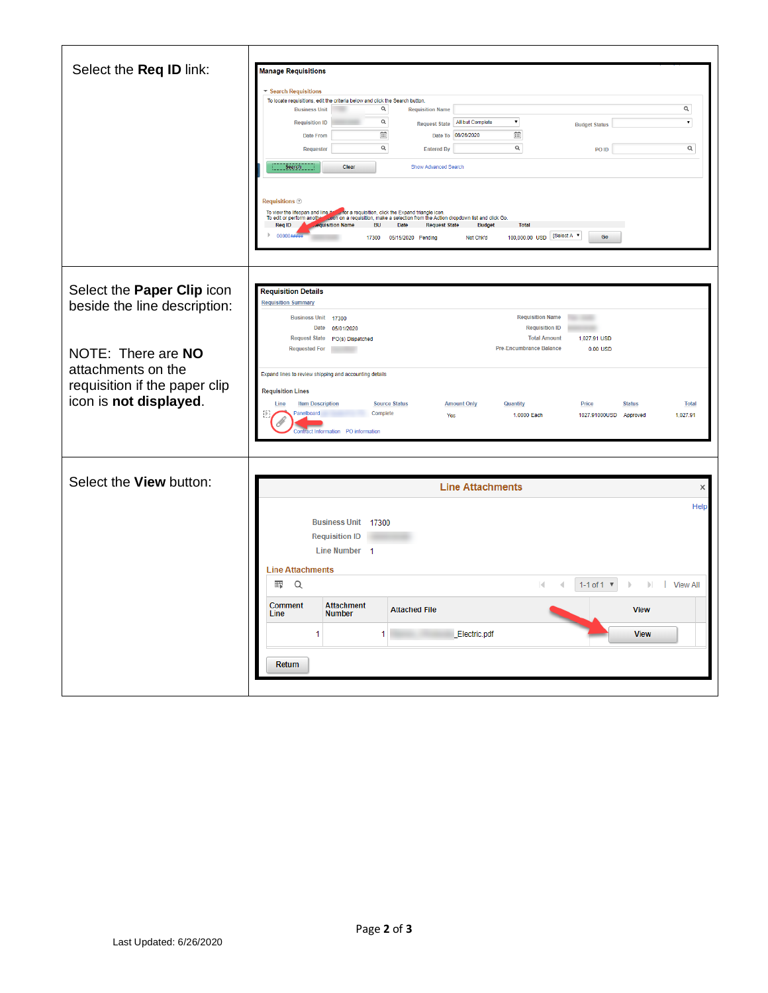| Select the Req ID link:                                                                                                                 | <b>Manage Requisitions</b><br>▼ Search Requisitions<br>To locate requisitions, edit the criteria below and click the Search button.<br>$\alpha$<br>$\alpha$<br><b>Requisition Name</b><br><b>Business Unit</b><br>$\alpha$<br>▾<br>$\overline{\phantom{0}}$<br>Request State   All but Complete<br><b>Requisition ID</b><br><b>Budget Status</b><br>Ħ<br>$\Xi$<br>Date To 06/26/2020<br>Date From<br>$\alpha$<br>$\mathsf{Q}_i$<br>$\alpha$<br>PO ID<br>Requester<br><b>Entered By</b><br><b>Search</b><br>Clear<br>Show Advanced Search<br><b>Requisitions</b> 2<br>To view the lifespan and line it say for a requisition, click the Expand triangle icon.<br>To edit or perform another sculph on a requisition, make a selection from the Action dropdown list and click Go<br><b>equisition Name</b><br><b>Req ID</b><br>BU Date Request State Budget<br><b>Total</b> |
|-----------------------------------------------------------------------------------------------------------------------------------------|----------------------------------------------------------------------------------------------------------------------------------------------------------------------------------------------------------------------------------------------------------------------------------------------------------------------------------------------------------------------------------------------------------------------------------------------------------------------------------------------------------------------------------------------------------------------------------------------------------------------------------------------------------------------------------------------------------------------------------------------------------------------------------------------------------------------------------------------------------------------------|
|                                                                                                                                         | 100,000.00 USD [Select A v<br>Go<br>17300 05/15/2020 Pending<br>Not Chk'd                                                                                                                                                                                                                                                                                                                                                                                                                                                                                                                                                                                                                                                                                                                                                                                                  |
| Select the Paper Clip icon<br>beside the line description:<br>NOTE: There are NO<br>attachments on the<br>requisition if the paper clip | <b>Requisition Details</b><br><b>Requisition Summary</b><br><b>Requisition Name</b><br>Business Unit 17300<br>Date<br><b>Requisition ID</b><br>05/01/2020<br><b>Request State</b><br><b>Total Amount</b><br>1,027.91 USD<br>PO(s) Dispatched<br>Pre-Encumbrance Balance<br><b>Requested For</b><br>$0.00$ USD<br>Expand lines to review shipping and accounting details<br><b>Requisition Lines</b>                                                                                                                                                                                                                                                                                                                                                                                                                                                                        |
| icon is not displayed.                                                                                                                  | <b>Item Description</b><br><b>Amount Only</b><br><b>Quantity</b><br>Line<br><b>Source Status</b><br>Price<br><b>Status</b><br><b>Total</b><br>Panelboard<br>Complete<br>1.0000 Each<br>1027.91000USD Approved<br>1.027.91<br>Yes<br><b>Contract Information PO information</b>                                                                                                                                                                                                                                                                                                                                                                                                                                                                                                                                                                                             |
| Select the View button:                                                                                                                 |                                                                                                                                                                                                                                                                                                                                                                                                                                                                                                                                                                                                                                                                                                                                                                                                                                                                            |
|                                                                                                                                         | <b>Line Attachments</b><br>×<br>Help<br>Business Unit 17300<br><b>Requisition ID</b><br>Line Number 1<br><b>Line Attachments</b><br>再<br>Q<br>$\mathbb{R}$<br>1-1 of 1 $\Psi$<br>$\mathbb{E}$<br>T<br><b>View All</b>                                                                                                                                                                                                                                                                                                                                                                                                                                                                                                                                                                                                                                                      |
|                                                                                                                                         | <b>Comment</b><br><b>Attachment</b><br><b>Attached File</b><br><b>View</b><br>Line<br><b>Number</b><br>Electric.pdf<br><b>View</b><br>1<br>1                                                                                                                                                                                                                                                                                                                                                                                                                                                                                                                                                                                                                                                                                                                               |
|                                                                                                                                         | Return                                                                                                                                                                                                                                                                                                                                                                                                                                                                                                                                                                                                                                                                                                                                                                                                                                                                     |